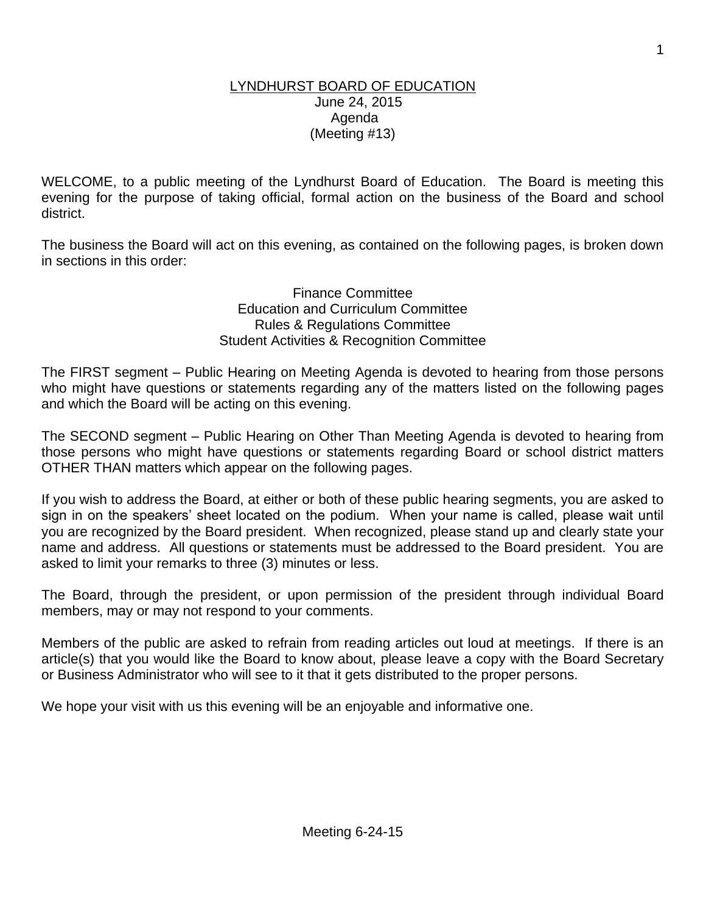#### LYNDHURST BOARD OF EDUCATION June 24, 2015 Agenda (Meeting #13)

WELCOME, to a public meeting of the Lyndhurst Board of Education. The Board is meeting this evening for the purpose of taking official, formal action on the business of the Board and school district.

The business the Board will act on this evening, as contained on the following pages, is broken down in sections in this order:

> Finance Committee Education and Curriculum Committee Rules & Regulations Committee Student Activities & Recognition Committee

The FIRST segment – Public Hearing on Meeting Agenda is devoted to hearing from those persons who might have questions or statements regarding any of the matters listed on the following pages and which the Board will be acting on this evening.

The SECOND segment – Public Hearing on Other Than Meeting Agenda is devoted to hearing from those persons who might have questions or statements regarding Board or school district matters OTHER THAN matters which appear on the following pages.

If you wish to address the Board, at either or both of these public hearing segments, you are asked to sign in on the speakers' sheet located on the podium. When your name is called, please wait until you are recognized by the Board president. When recognized, please stand up and clearly state your name and address. All questions or statements must be addressed to the Board president. You are asked to limit your remarks to three (3) minutes or less.

The Board, through the president, or upon permission of the president through individual Board members, may or may not respond to your comments.

Members of the public are asked to refrain from reading articles out loud at meetings. If there is an article(s) that you would like the Board to know about, please leave a copy with the Board Secretary or Business Administrator who will see to it that it gets distributed to the proper persons.

We hope your visit with us this evening will be an enjoyable and informative one.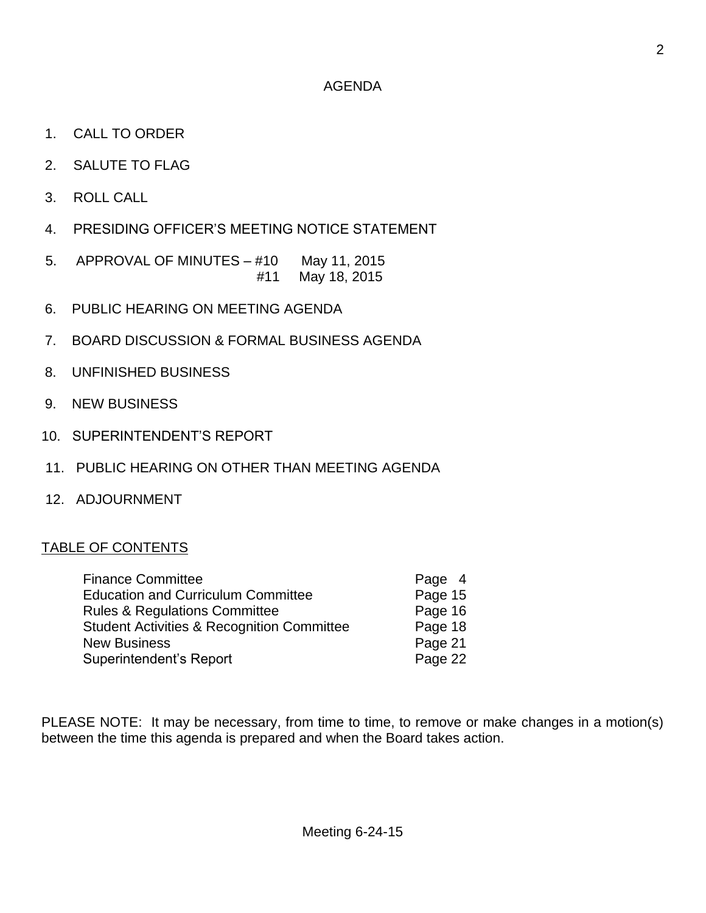- 1. CALL TO ORDER
- 2. SALUTE TO FLAG
- 3. ROLL CALL
- 4. PRESIDING OFFICER'S MEETING NOTICE STATEMENT
- 5. APPROVAL OF MINUTES #10 May 11, 2015 #11 May 18, 2015
- 6. PUBLIC HEARING ON MEETING AGENDA
- 7. BOARD DISCUSSION & FORMAL BUSINESS AGENDA
- 8. UNFINISHED BUSINESS
- 9. NEW BUSINESS
- 10. SUPERINTENDENT'S REPORT
- 11. PUBLIC HEARING ON OTHER THAN MEETING AGENDA
- 12. ADJOURNMENT

#### TABLE OF CONTENTS

| <b>Finance Committee</b>                              | Page 4  |
|-------------------------------------------------------|---------|
| <b>Education and Curriculum Committee</b>             | Page 15 |
| <b>Rules &amp; Regulations Committee</b>              | Page 16 |
| <b>Student Activities &amp; Recognition Committee</b> | Page 18 |
| <b>New Business</b>                                   | Page 21 |
| Superintendent's Report                               | Page 22 |

PLEASE NOTE: It may be necessary, from time to time, to remove or make changes in a motion(s) between the time this agenda is prepared and when the Board takes action.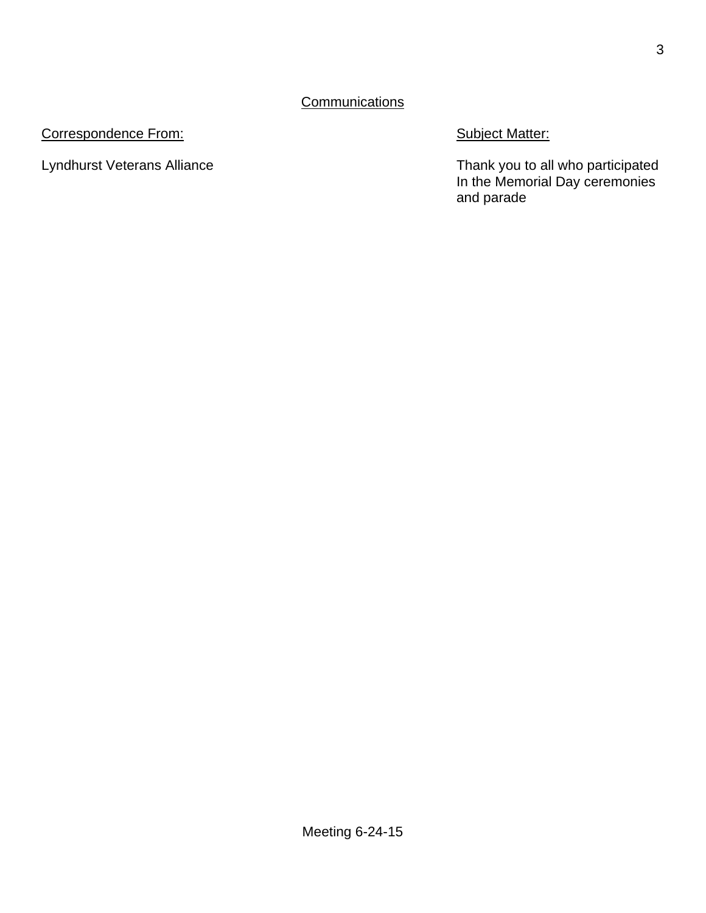## **Communications**

# Correspondence From: Subject Matter:

Lyndhurst Veterans Alliance **Thank you to all who participated** In the Memorial Day ceremonies and parade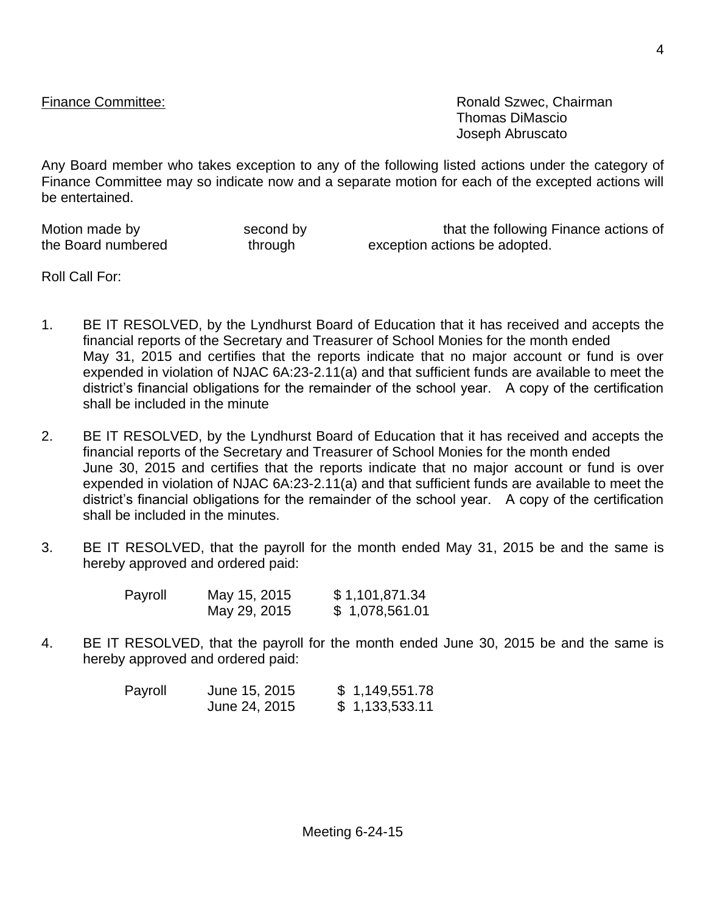Finance Committee: **Ronald Szwec, Chairman** Thomas DiMascio Joseph Abruscato

Any Board member who takes exception to any of the following listed actions under the category of Finance Committee may so indicate now and a separate motion for each of the excepted actions will be entertained.

the Board numbered through exception actions be adopted.

Motion made by second by second by that the following Finance actions of

Roll Call For:

- 1. BE IT RESOLVED, by the Lyndhurst Board of Education that it has received and accepts the financial reports of the Secretary and Treasurer of School Monies for the month ended May 31, 2015 and certifies that the reports indicate that no major account or fund is over expended in violation of NJAC 6A:23-2.11(a) and that sufficient funds are available to meet the district's financial obligations for the remainder of the school year. A copy of the certification shall be included in the minute
- 2. BE IT RESOLVED, by the Lyndhurst Board of Education that it has received and accepts the financial reports of the Secretary and Treasurer of School Monies for the month ended June 30, 2015 and certifies that the reports indicate that no major account or fund is over expended in violation of NJAC 6A:23-2.11(a) and that sufficient funds are available to meet the district's financial obligations for the remainder of the school year. A copy of the certification shall be included in the minutes.
- 3. BE IT RESOLVED, that the payroll for the month ended May 31, 2015 be and the same is hereby approved and ordered paid:

| Payroll | May 15, 2015 | \$1,101,871.34 |
|---------|--------------|----------------|
|         | May 29, 2015 | \$1,078,561.01 |

4. BE IT RESOLVED, that the payroll for the month ended June 30, 2015 be and the same is hereby approved and ordered paid:

| Payroll | June 15, 2015 | \$1,149,551.78 |
|---------|---------------|----------------|
|         | June 24, 2015 | \$1,133,533.11 |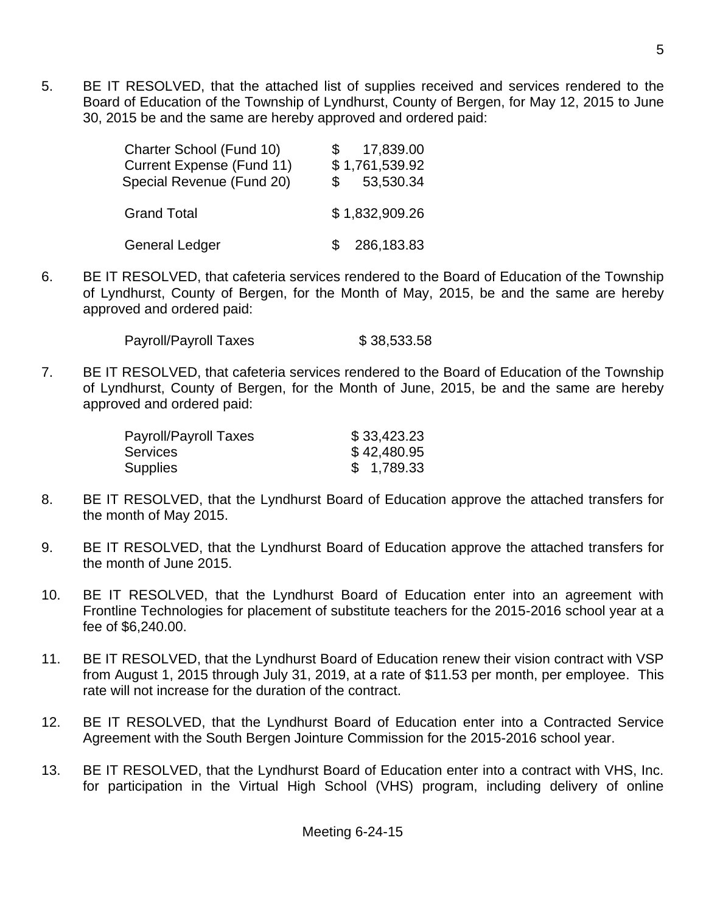5. BE IT RESOLVED, that the attached list of supplies received and services rendered to the Board of Education of the Township of Lyndhurst, County of Bergen, for May 12, 2015 to June 30, 2015 be and the same are hereby approved and ordered paid:

| Charter School (Fund 10)<br><b>Current Expense (Fund 11)</b><br>Special Revenue (Fund 20) | 17,839.00<br>\$1,761,539.92<br>53,530.34 |
|-------------------------------------------------------------------------------------------|------------------------------------------|
| <b>Grand Total</b>                                                                        | \$1,832,909.26                           |
| <b>General Ledger</b>                                                                     | 286,183.83                               |

6. BE IT RESOLVED, that cafeteria services rendered to the Board of Education of the Township of Lyndhurst, County of Bergen, for the Month of May, 2015, be and the same are hereby approved and ordered paid:

Payroll/Payroll Taxes \$ 38,533.58

7. BE IT RESOLVED, that cafeteria services rendered to the Board of Education of the Township of Lyndhurst, County of Bergen, for the Month of June, 2015, be and the same are hereby approved and ordered paid:

| Payroll/Payroll Taxes | \$33,423.23 |
|-----------------------|-------------|
| Services              | \$42,480.95 |
| Supplies              | \$1,789.33  |

- 8. BE IT RESOLVED, that the Lyndhurst Board of Education approve the attached transfers for the month of May 2015.
- 9. BE IT RESOLVED, that the Lyndhurst Board of Education approve the attached transfers for the month of June 2015.
- 10. BE IT RESOLVED, that the Lyndhurst Board of Education enter into an agreement with Frontline Technologies for placement of substitute teachers for the 2015-2016 school year at a fee of \$6,240.00.
- 11. BE IT RESOLVED, that the Lyndhurst Board of Education renew their vision contract with VSP from August 1, 2015 through July 31, 2019, at a rate of \$11.53 per month, per employee. This rate will not increase for the duration of the contract.
- 12. BE IT RESOLVED, that the Lyndhurst Board of Education enter into a Contracted Service Agreement with the South Bergen Jointure Commission for the 2015-2016 school year.
- 13. BE IT RESOLVED, that the Lyndhurst Board of Education enter into a contract with VHS, Inc. for participation in the Virtual High School (VHS) program, including delivery of online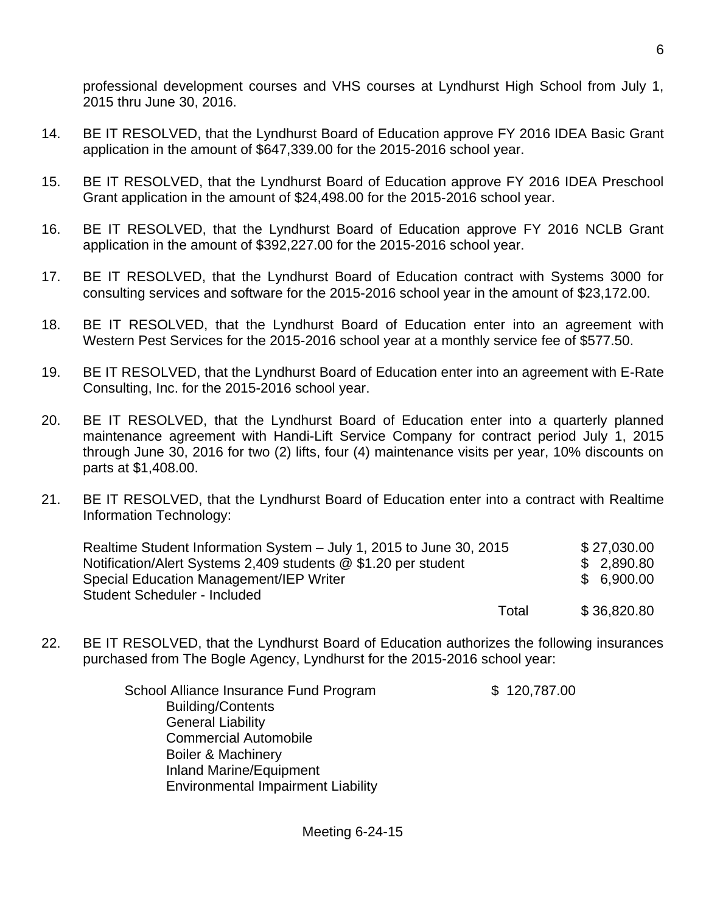professional development courses and VHS courses at Lyndhurst High School from July 1, 2015 thru June 30, 2016.

- 14. BE IT RESOLVED, that the Lyndhurst Board of Education approve FY 2016 IDEA Basic Grant application in the amount of \$647,339.00 for the 2015-2016 school year.
- 15. BE IT RESOLVED, that the Lyndhurst Board of Education approve FY 2016 IDEA Preschool Grant application in the amount of \$24,498.00 for the 2015-2016 school year.
- 16. BE IT RESOLVED, that the Lyndhurst Board of Education approve FY 2016 NCLB Grant application in the amount of \$392,227.00 for the 2015-2016 school year.
- 17. BE IT RESOLVED, that the Lyndhurst Board of Education contract with Systems 3000 for consulting services and software for the 2015-2016 school year in the amount of \$23,172.00.
- 18. BE IT RESOLVED, that the Lyndhurst Board of Education enter into an agreement with Western Pest Services for the 2015-2016 school year at a monthly service fee of \$577.50.
- 19. BE IT RESOLVED, that the Lyndhurst Board of Education enter into an agreement with E-Rate Consulting, Inc. for the 2015-2016 school year.
- 20. BE IT RESOLVED, that the Lyndhurst Board of Education enter into a quarterly planned maintenance agreement with Handi-Lift Service Company for contract period July 1, 2015 through June 30, 2016 for two (2) lifts, four (4) maintenance visits per year, 10% discounts on parts at \$1,408.00.
- 21. BE IT RESOLVED, that the Lyndhurst Board of Education enter into a contract with Realtime Information Technology:

| Realtime Student Information System – July 1, 2015 to June 30, 2015 |       | \$27,030.00 |
|---------------------------------------------------------------------|-------|-------------|
| Notification/Alert Systems 2,409 students @ \$1.20 per student      |       | \$2,890.80  |
| <b>Special Education Management/IEP Writer</b>                      |       | \$6,900.00  |
| <b>Student Scheduler - Included</b>                                 |       |             |
|                                                                     | Total | \$36,820.80 |

22. BE IT RESOLVED, that the Lyndhurst Board of Education authorizes the following insurances purchased from The Bogle Agency, Lyndhurst for the 2015-2016 school year:

| School Alliance Insurance Fund Program    | \$120,787.00 |
|-------------------------------------------|--------------|
| <b>Building/Contents</b>                  |              |
| <b>General Liability</b>                  |              |
| <b>Commercial Automobile</b>              |              |
| <b>Boiler &amp; Machinery</b>             |              |
| <b>Inland Marine/Equipment</b>            |              |
| <b>Environmental Impairment Liability</b> |              |
|                                           |              |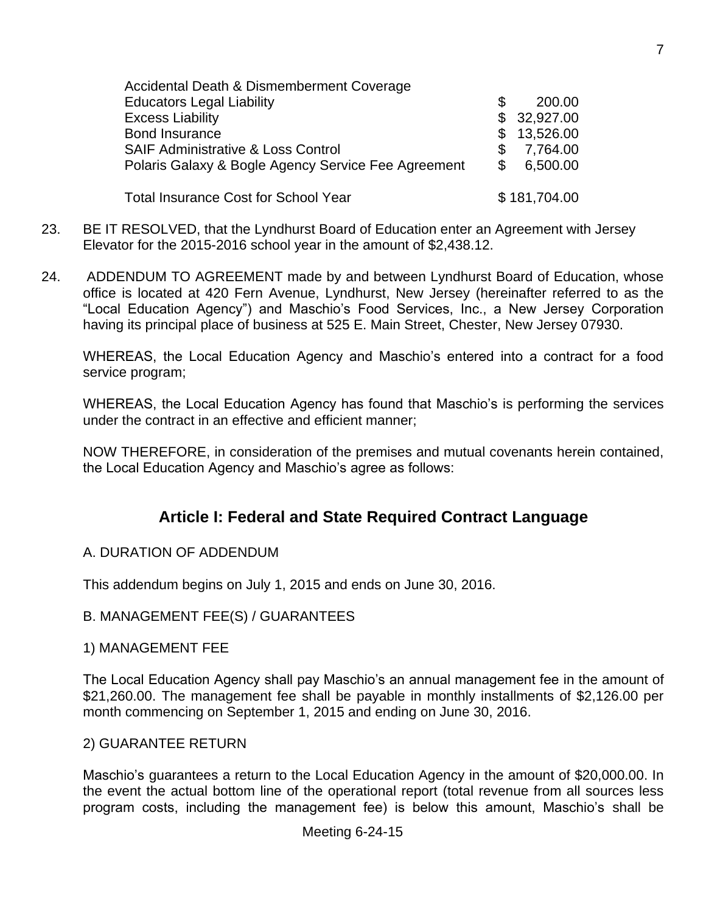| Accidental Death & Dismemberment Coverage           |     |              |
|-----------------------------------------------------|-----|--------------|
| <b>Educators Legal Liability</b>                    | \$. | 200.00       |
| <b>Excess Liability</b>                             |     | \$32,927.00  |
| <b>Bond Insurance</b>                               |     | \$13,526.00  |
| <b>SAIF Administrative &amp; Loss Control</b>       | \$. | 7,764.00     |
| Polaris Galaxy & Bogle Agency Service Fee Agreement | S.  | 6,500.00     |
| <b>Total Insurance Cost for School Year</b>         |     | \$181,704.00 |

- 23. BE IT RESOLVED, that the Lyndhurst Board of Education enter an Agreement with Jersey Elevator for the 2015-2016 school year in the amount of \$2,438.12.
- 24. ADDENDUM TO AGREEMENT made by and between Lyndhurst Board of Education, whose office is located at 420 Fern Avenue, Lyndhurst, New Jersey (hereinafter referred to as the "Local Education Agency") and Maschio's Food Services, Inc., a New Jersey Corporation having its principal place of business at 525 E. Main Street, Chester, New Jersey 07930.

WHEREAS, the Local Education Agency and Maschio's entered into a contract for a food service program;

WHEREAS, the Local Education Agency has found that Maschio's is performing the services under the contract in an effective and efficient manner;

NOW THEREFORE, in consideration of the premises and mutual covenants herein contained, the Local Education Agency and Maschio's agree as follows:

# **Article I: Federal and State Required Contract Language**

### A. DURATION OF ADDENDUM

This addendum begins on July 1, 2015 and ends on June 30, 2016.

### B. MANAGEMENT FEE(S) / GUARANTEES

#### 1) MANAGEMENT FEE

The Local Education Agency shall pay Maschio's an annual management fee in the amount of \$21,260.00. The management fee shall be payable in monthly installments of \$2,126.00 per month commencing on September 1, 2015 and ending on June 30, 2016.

### 2) GUARANTEE RETURN

Maschio's guarantees a return to the Local Education Agency in the amount of \$20,000.00. In the event the actual bottom line of the operational report (total revenue from all sources less program costs, including the management fee) is below this amount, Maschio's shall be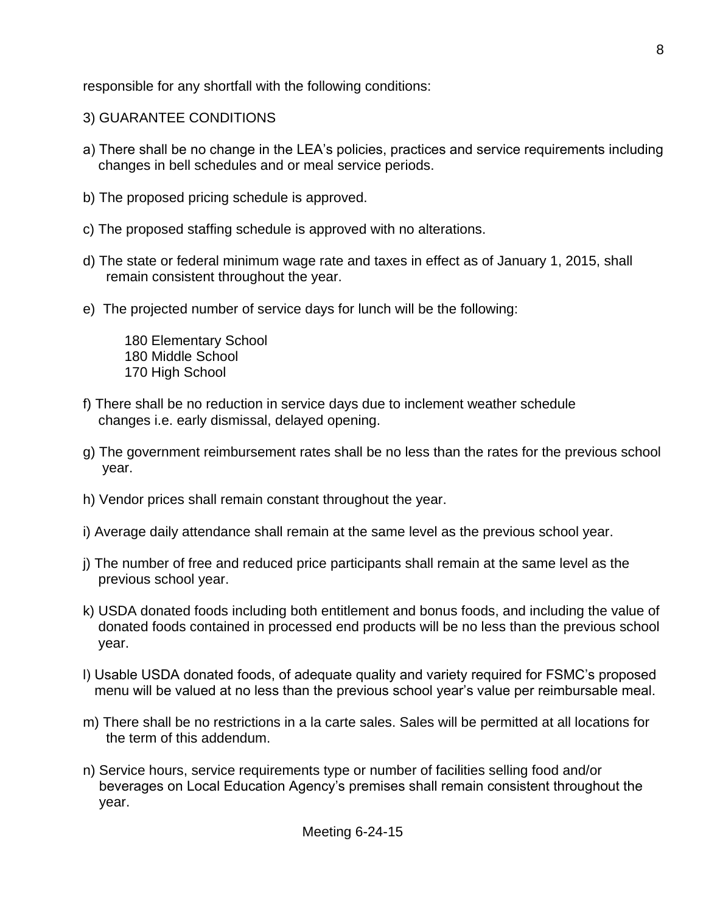responsible for any shortfall with the following conditions:

- 3) GUARANTEE CONDITIONS
- a) There shall be no change in the LEA's policies, practices and service requirements including changes in bell schedules and or meal service periods.
- b) The proposed pricing schedule is approved.
- c) The proposed staffing schedule is approved with no alterations.
- d) The state or federal minimum wage rate and taxes in effect as of January 1, 2015, shall remain consistent throughout the year.
- e) The projected number of service days for lunch will be the following:

 180 Elementary School 180 Middle School 170 High School

- f) There shall be no reduction in service days due to inclement weather schedule changes i.e. early dismissal, delayed opening.
- g) The government reimbursement rates shall be no less than the rates for the previous school year.
- h) Vendor prices shall remain constant throughout the year.
- i) Average daily attendance shall remain at the same level as the previous school year.
- j) The number of free and reduced price participants shall remain at the same level as the previous school year.
- k) USDA donated foods including both entitlement and bonus foods, and including the value of donated foods contained in processed end products will be no less than the previous school year.
- l) Usable USDA donated foods, of adequate quality and variety required for FSMC's proposed menu will be valued at no less than the previous school year's value per reimbursable meal.
- m) There shall be no restrictions in a la carte sales. Sales will be permitted at all locations for the term of this addendum.
- n) Service hours, service requirements type or number of facilities selling food and/or beverages on Local Education Agency's premises shall remain consistent throughout the year.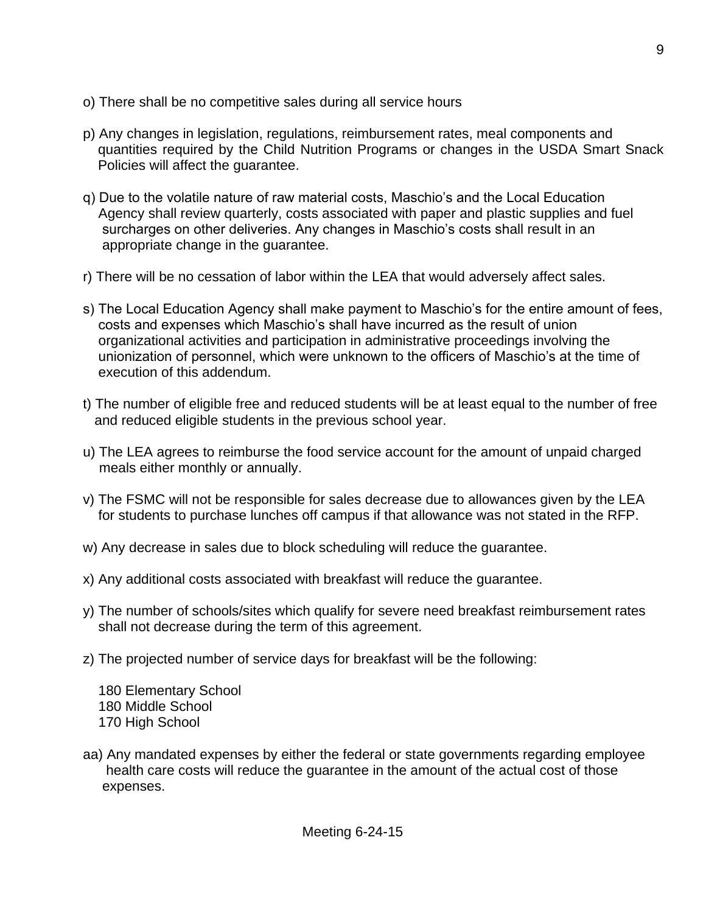- o) There shall be no competitive sales during all service hours
- p) Any changes in legislation, regulations, reimbursement rates, meal components and quantities required by the Child Nutrition Programs or changes in the USDA Smart Snack Policies will affect the guarantee.
- q) Due to the volatile nature of raw material costs, Maschio's and the Local Education Agency shall review quarterly, costs associated with paper and plastic supplies and fuel surcharges on other deliveries. Any changes in Maschio's costs shall result in an appropriate change in the guarantee.
- r) There will be no cessation of labor within the LEA that would adversely affect sales.
- s) The Local Education Agency shall make payment to Maschio's for the entire amount of fees, costs and expenses which Maschio's shall have incurred as the result of union organizational activities and participation in administrative proceedings involving the unionization of personnel, which were unknown to the officers of Maschio's at the time of execution of this addendum.
- t) The number of eligible free and reduced students will be at least equal to the number of free and reduced eligible students in the previous school year.
- u) The LEA agrees to reimburse the food service account for the amount of unpaid charged meals either monthly or annually.
- v) The FSMC will not be responsible for sales decrease due to allowances given by the LEA for students to purchase lunches off campus if that allowance was not stated in the RFP.
- w) Any decrease in sales due to block scheduling will reduce the guarantee.
- x) Any additional costs associated with breakfast will reduce the guarantee.
- y) The number of schools/sites which qualify for severe need breakfast reimbursement rates shall not decrease during the term of this agreement.
- z) The projected number of service days for breakfast will be the following:
	- 180 Elementary School 180 Middle School 170 High School
- aa) Any mandated expenses by either the federal or state governments regarding employee health care costs will reduce the guarantee in the amount of the actual cost of those expenses.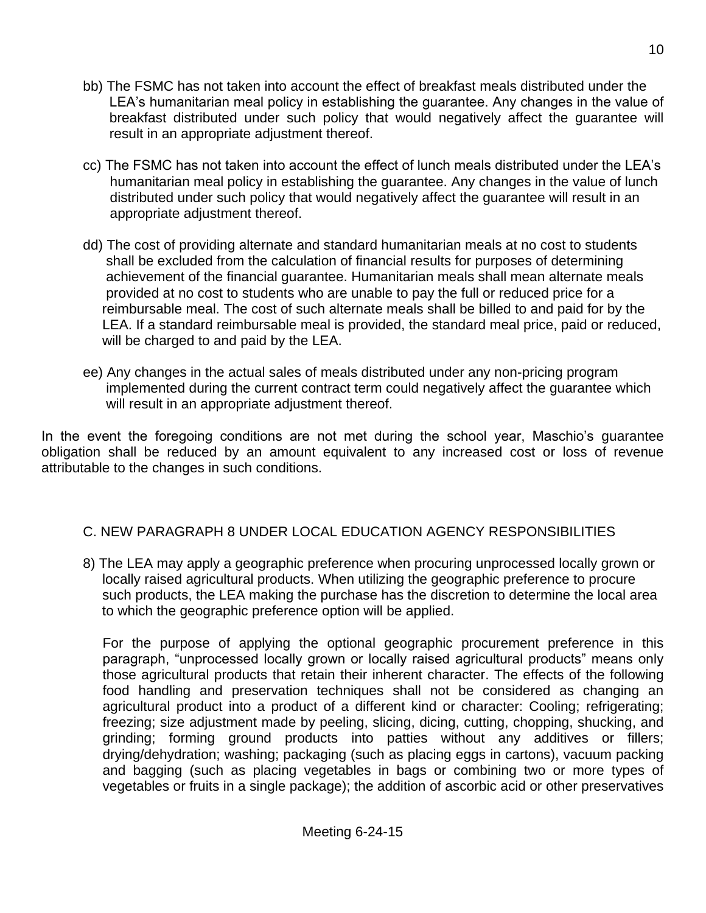- bb) The FSMC has not taken into account the effect of breakfast meals distributed under the LEA's humanitarian meal policy in establishing the guarantee. Any changes in the value of breakfast distributed under such policy that would negatively affect the guarantee will result in an appropriate adjustment thereof.
- cc) The FSMC has not taken into account the effect of lunch meals distributed under the LEA's humanitarian meal policy in establishing the guarantee. Any changes in the value of lunch distributed under such policy that would negatively affect the guarantee will result in an appropriate adjustment thereof.
- dd) The cost of providing alternate and standard humanitarian meals at no cost to students shall be excluded from the calculation of financial results for purposes of determining achievement of the financial guarantee. Humanitarian meals shall mean alternate meals provided at no cost to students who are unable to pay the full or reduced price for a reimbursable meal. The cost of such alternate meals shall be billed to and paid for by the LEA. If a standard reimbursable meal is provided, the standard meal price, paid or reduced, will be charged to and paid by the LEA.
- ee) Any changes in the actual sales of meals distributed under any non-pricing program implemented during the current contract term could negatively affect the guarantee which will result in an appropriate adjustment thereof.

In the event the foregoing conditions are not met during the school year, Maschio's guarantee obligation shall be reduced by an amount equivalent to any increased cost or loss of revenue attributable to the changes in such conditions.

# C. NEW PARAGRAPH 8 UNDER LOCAL EDUCATION AGENCY RESPONSIBILITIES

8) The LEA may apply a geographic preference when procuring unprocessed locally grown or locally raised agricultural products. When utilizing the geographic preference to procure such products, the LEA making the purchase has the discretion to determine the local area to which the geographic preference option will be applied.

For the purpose of applying the optional geographic procurement preference in this paragraph, "unprocessed locally grown or locally raised agricultural products" means only those agricultural products that retain their inherent character. The effects of the following food handling and preservation techniques shall not be considered as changing an agricultural product into a product of a different kind or character: Cooling; refrigerating; freezing; size adjustment made by peeling, slicing, dicing, cutting, chopping, shucking, and grinding; forming ground products into patties without any additives or fillers; drying/dehydration; washing; packaging (such as placing eggs in cartons), vacuum packing and bagging (such as placing vegetables in bags or combining two or more types of vegetables or fruits in a single package); the addition of ascorbic acid or other preservatives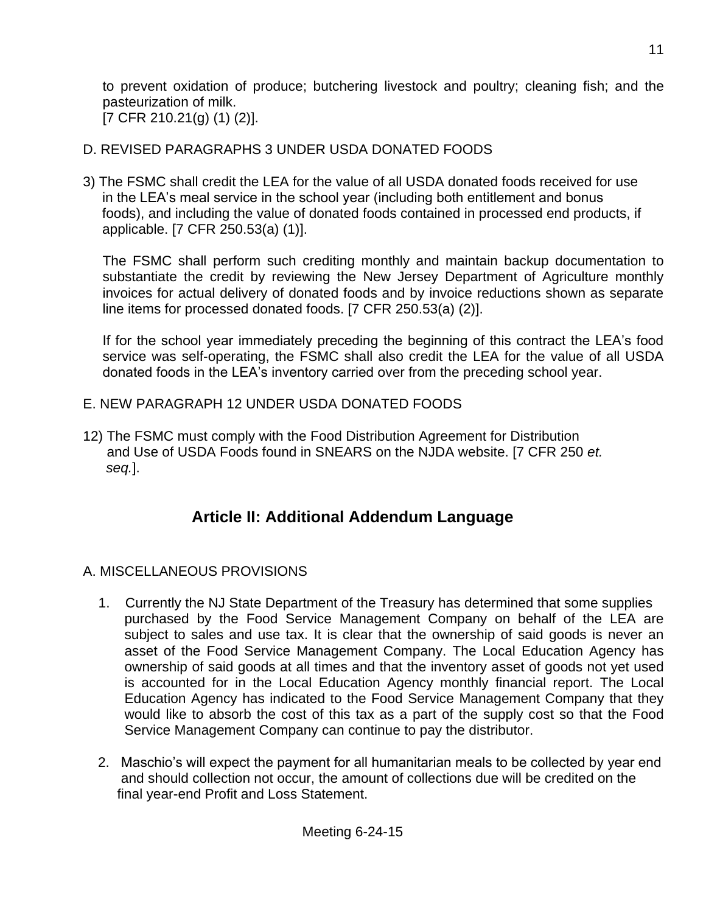to prevent oxidation of produce; butchering livestock and poultry; cleaning fish; and the pasteurization of milk. [7 CFR 210.21(g) (1) (2)].

# D. REVISED PARAGRAPHS 3 UNDER USDA DONATED FOODS

3) The FSMC shall credit the LEA for the value of all USDA donated foods received for use in the LEA's meal service in the school year (including both entitlement and bonus foods), and including the value of donated foods contained in processed end products, if applicable. [7 CFR 250.53(a) (1)].

The FSMC shall perform such crediting monthly and maintain backup documentation to substantiate the credit by reviewing the New Jersey Department of Agriculture monthly invoices for actual delivery of donated foods and by invoice reductions shown as separate line items for processed donated foods. [7 CFR 250.53(a) (2)].

If for the school year immediately preceding the beginning of this contract the LEA's food service was self-operating, the FSMC shall also credit the LEA for the value of all USDA donated foods in the LEA's inventory carried over from the preceding school year.

# E. NEW PARAGRAPH 12 UNDER USDA DONATED FOODS

12) The FSMC must comply with the Food Distribution Agreement for Distribution and Use of USDA Foods found in SNEARS on the NJDA website. [7 CFR 250 *et. seq.*].

# **Article II: Additional Addendum Language**

# A. MISCELLANEOUS PROVISIONS

- 1. Currently the NJ State Department of the Treasury has determined that some supplies purchased by the Food Service Management Company on behalf of the LEA are subject to sales and use tax. It is clear that the ownership of said goods is never an asset of the Food Service Management Company. The Local Education Agency has ownership of said goods at all times and that the inventory asset of goods not yet used is accounted for in the Local Education Agency monthly financial report. The Local Education Agency has indicated to the Food Service Management Company that they would like to absorb the cost of this tax as a part of the supply cost so that the Food Service Management Company can continue to pay the distributor.
- 2. Maschio's will expect the payment for all humanitarian meals to be collected by year end and should collection not occur, the amount of collections due will be credited on the final year-end Profit and Loss Statement.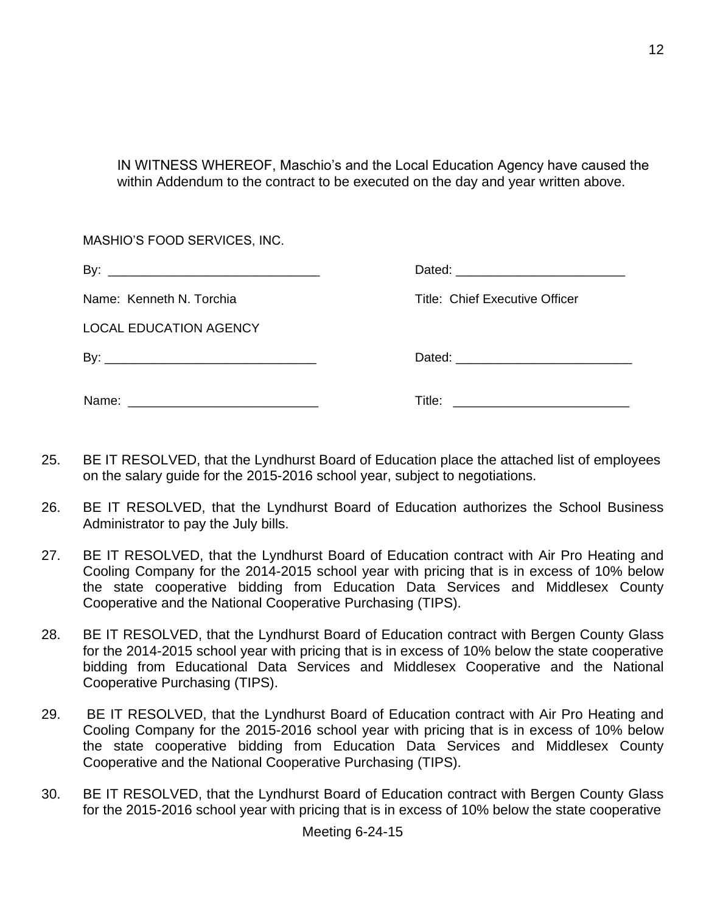IN WITNESS WHEREOF, Maschio's and the Local Education Agency have caused the within Addendum to the contract to be executed on the day and year written above.

MASHIO'S FOOD SERVICES, INC.

By: \_\_\_\_\_\_\_\_\_\_\_\_\_\_\_\_\_\_\_\_\_\_\_\_\_\_\_\_\_\_ Dated: \_\_\_\_\_\_\_\_\_\_\_\_\_\_\_\_\_\_\_\_\_\_\_\_

LOCAL EDUCATION AGENCY

By: \_\_\_\_\_\_\_\_\_\_\_\_\_\_\_\_\_\_\_\_\_\_\_\_\_\_\_\_\_\_ Dated: \_\_\_\_\_\_\_\_\_\_\_\_\_\_\_\_\_\_\_\_\_\_\_\_\_

Name:  $\blacksquare$ 

Name: Kenneth N. Torchia Title: Chief Executive Officer

- 25. BE IT RESOLVED, that the Lyndhurst Board of Education place the attached list of employees on the salary guide for the 2015-2016 school year, subject to negotiations.
- 26. BE IT RESOLVED, that the Lyndhurst Board of Education authorizes the School Business Administrator to pay the July bills.
- 27. BE IT RESOLVED, that the Lyndhurst Board of Education contract with Air Pro Heating and Cooling Company for the 2014-2015 school year with pricing that is in excess of 10% below the state cooperative bidding from Education Data Services and Middlesex County Cooperative and the National Cooperative Purchasing (TIPS).
- 28. BE IT RESOLVED, that the Lyndhurst Board of Education contract with Bergen County Glass for the 2014-2015 school year with pricing that is in excess of 10% below the state cooperative bidding from Educational Data Services and Middlesex Cooperative and the National Cooperative Purchasing (TIPS).
- 29. BE IT RESOLVED, that the Lyndhurst Board of Education contract with Air Pro Heating and Cooling Company for the 2015-2016 school year with pricing that is in excess of 10% below the state cooperative bidding from Education Data Services and Middlesex County Cooperative and the National Cooperative Purchasing (TIPS).
- 30. BE IT RESOLVED, that the Lyndhurst Board of Education contract with Bergen County Glass for the 2015-2016 school year with pricing that is in excess of 10% below the state cooperative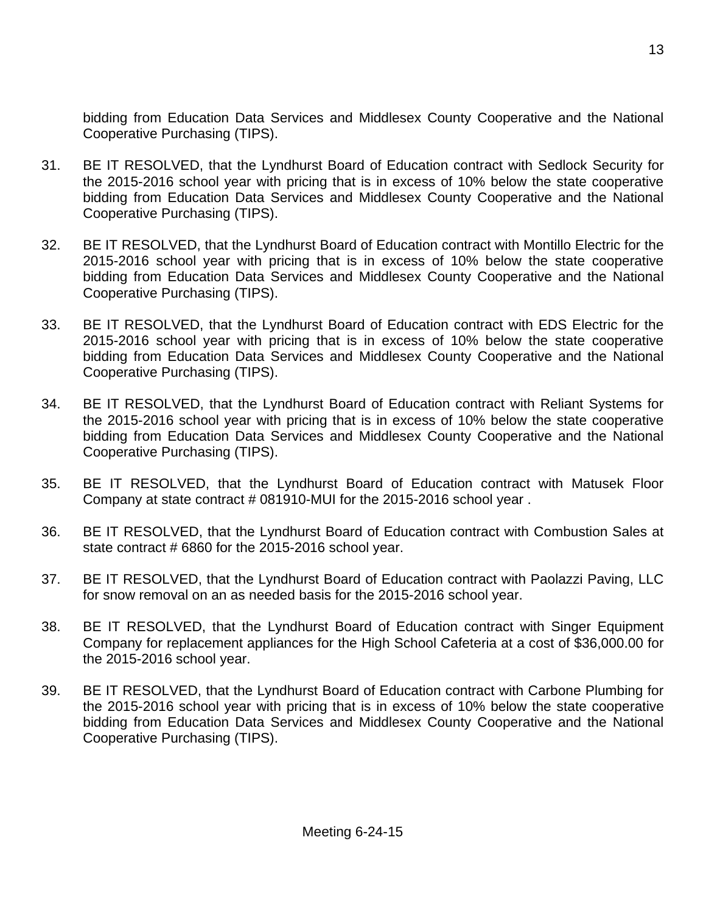bidding from Education Data Services and Middlesex County Cooperative and the National Cooperative Purchasing (TIPS).

- 31. BE IT RESOLVED, that the Lyndhurst Board of Education contract with Sedlock Security for the 2015-2016 school year with pricing that is in excess of 10% below the state cooperative bidding from Education Data Services and Middlesex County Cooperative and the National Cooperative Purchasing (TIPS).
- 32. BE IT RESOLVED, that the Lyndhurst Board of Education contract with Montillo Electric for the 2015-2016 school year with pricing that is in excess of 10% below the state cooperative bidding from Education Data Services and Middlesex County Cooperative and the National Cooperative Purchasing (TIPS).
- 33. BE IT RESOLVED, that the Lyndhurst Board of Education contract with EDS Electric for the 2015-2016 school year with pricing that is in excess of 10% below the state cooperative bidding from Education Data Services and Middlesex County Cooperative and the National Cooperative Purchasing (TIPS).
- 34. BE IT RESOLVED, that the Lyndhurst Board of Education contract with Reliant Systems for the 2015-2016 school year with pricing that is in excess of 10% below the state cooperative bidding from Education Data Services and Middlesex County Cooperative and the National Cooperative Purchasing (TIPS).
- 35. BE IT RESOLVED, that the Lyndhurst Board of Education contract with Matusek Floor Company at state contract # 081910-MUI for the 2015-2016 school year .
- 36. BE IT RESOLVED, that the Lyndhurst Board of Education contract with Combustion Sales at state contract # 6860 for the 2015-2016 school year.
- 37. BE IT RESOLVED, that the Lyndhurst Board of Education contract with Paolazzi Paving, LLC for snow removal on an as needed basis for the 2015-2016 school year.
- 38. BE IT RESOLVED, that the Lyndhurst Board of Education contract with Singer Equipment Company for replacement appliances for the High School Cafeteria at a cost of \$36,000.00 for the 2015-2016 school year.
- 39. BE IT RESOLVED, that the Lyndhurst Board of Education contract with Carbone Plumbing for the 2015-2016 school year with pricing that is in excess of 10% below the state cooperative bidding from Education Data Services and Middlesex County Cooperative and the National Cooperative Purchasing (TIPS).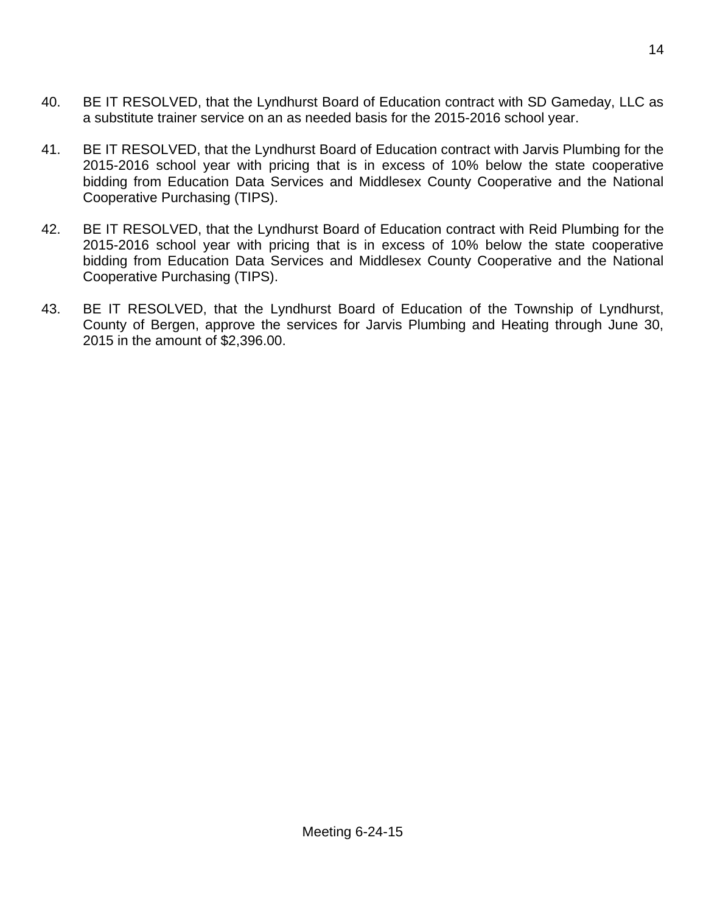- 40. BE IT RESOLVED, that the Lyndhurst Board of Education contract with SD Gameday, LLC as a substitute trainer service on an as needed basis for the 2015-2016 school year.
- 41. BE IT RESOLVED, that the Lyndhurst Board of Education contract with Jarvis Plumbing for the 2015-2016 school year with pricing that is in excess of 10% below the state cooperative bidding from Education Data Services and Middlesex County Cooperative and the National Cooperative Purchasing (TIPS).
- 42. BE IT RESOLVED, that the Lyndhurst Board of Education contract with Reid Plumbing for the 2015-2016 school year with pricing that is in excess of 10% below the state cooperative bidding from Education Data Services and Middlesex County Cooperative and the National Cooperative Purchasing (TIPS).
- 43. BE IT RESOLVED, that the Lyndhurst Board of Education of the Township of Lyndhurst, County of Bergen, approve the services for Jarvis Plumbing and Heating through June 30, 2015 in the amount of \$2,396.00.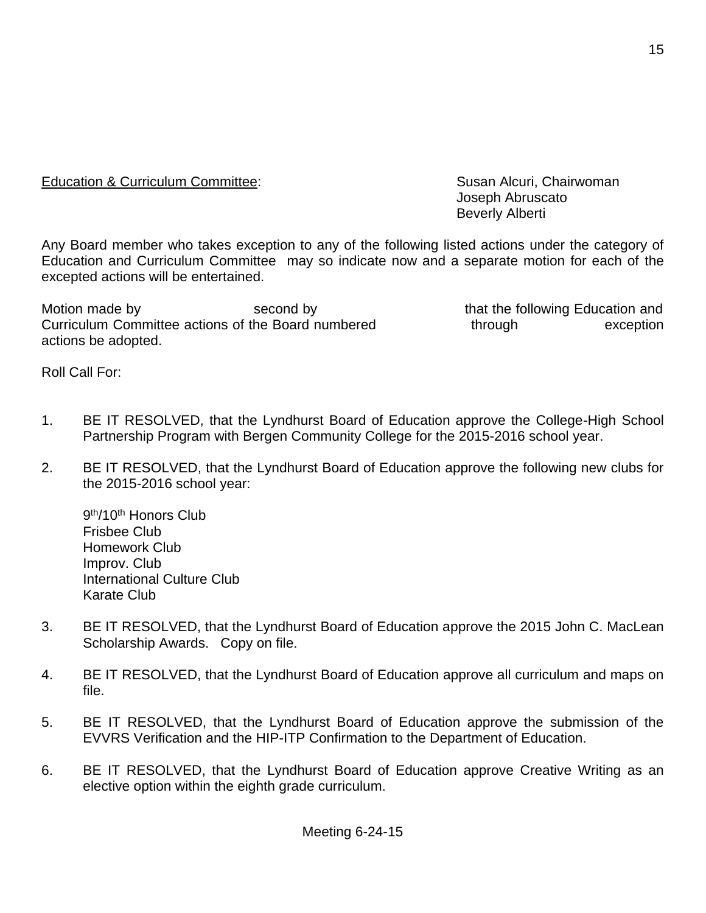Education & Curriculum Committee: Susan Alcuri, Chairwoman

Any Board member who takes exception to any of the following listed actions under the category of Education and Curriculum Committee may so indicate now and a separate motion for each of the excepted actions will be entertained.

Motion made by The second by that the following Education and Motion and Curriculum Committee actions of the Board numbered through through exception actions be adopted.

Joseph Abruscato Beverly Alberti

Roll Call For:

- 1. BE IT RESOLVED, that the Lyndhurst Board of Education approve the College-High School Partnership Program with Bergen Community College for the 2015-2016 school year.
- 2. BE IT RESOLVED, that the Lyndhurst Board of Education approve the following new clubs for the 2015-2016 school year:

9<sup>th</sup>/10<sup>th</sup> Honors Club Frisbee Club Homework Club Improv. Club International Culture Club Karate Club

- 3. BE IT RESOLVED, that the Lyndhurst Board of Education approve the 2015 John C. MacLean Scholarship Awards. Copy on file.
- 4. BE IT RESOLVED, that the Lyndhurst Board of Education approve all curriculum and maps on file.
- 5. BE IT RESOLVED, that the Lyndhurst Board of Education approve the submission of the EVVRS Verification and the HIP-ITP Confirmation to the Department of Education.
- 6. BE IT RESOLVED, that the Lyndhurst Board of Education approve Creative Writing as an elective option within the eighth grade curriculum.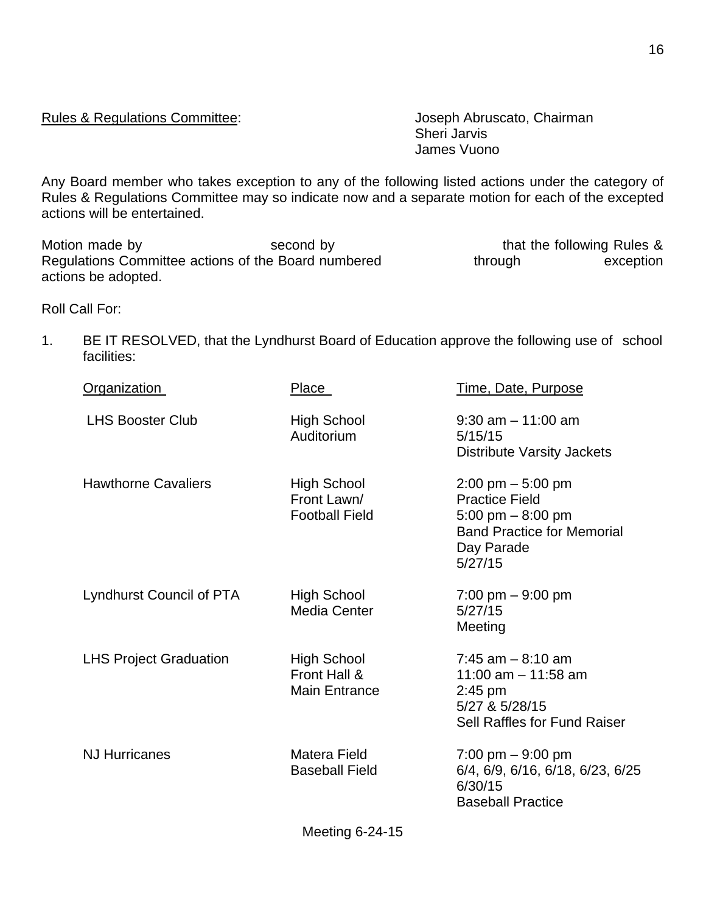Rules & Regulations Committee: Joseph Abruscato, Chairman

Sheri Jarvis James Vuono

Any Board member who takes exception to any of the following listed actions under the category of Rules & Regulations Committee may so indicate now and a separate motion for each of the excepted actions will be entertained.

Motion made by Second by Second by that the following Rules & Regulations Committee actions of the Board numbered through exception actions be adopted.

Roll Call For:

1. BE IT RESOLVED, that the Lyndhurst Board of Education approve the following use of school facilities:

| <b>Organization</b>             | Place                                               | <u>Time, Date, Purpose</u>                                                                                                                       |
|---------------------------------|-----------------------------------------------------|--------------------------------------------------------------------------------------------------------------------------------------------------|
| <b>LHS Booster Club</b>         | <b>High School</b><br>Auditorium                    | $9:30$ am $-11:00$ am<br>5/15/15<br><b>Distribute Varsity Jackets</b>                                                                            |
| <b>Hawthorne Cavaliers</b>      | High School<br>Front Lawn/<br><b>Football Field</b> | $2:00 \text{ pm} - 5:00 \text{ pm}$<br><b>Practice Field</b><br>5:00 pm $-8:00$ pm<br><b>Band Practice for Memorial</b><br>Day Parade<br>5/27/15 |
| <b>Lyndhurst Council of PTA</b> | High School<br>Media Center                         | $7:00 \text{ pm} - 9:00 \text{ pm}$<br>5/27/15<br>Meeting                                                                                        |
| <b>LHS Project Graduation</b>   | High School<br>Front Hall &<br><b>Main Entrance</b> | $7:45$ am $-8:10$ am<br>11:00 am $-$ 11:58 am<br>$2:45$ pm<br>5/27 & 5/28/15<br>Sell Raffles for Fund Raiser                                     |
| <b>NJ Hurricanes</b>            | Matera Field<br><b>Baseball Field</b>               | $7:00 \text{ pm} - 9:00 \text{ pm}$<br>6/4, 6/9, 6/16, 6/18, 6/23, 6/25<br>6/30/15<br><b>Baseball Practice</b>                                   |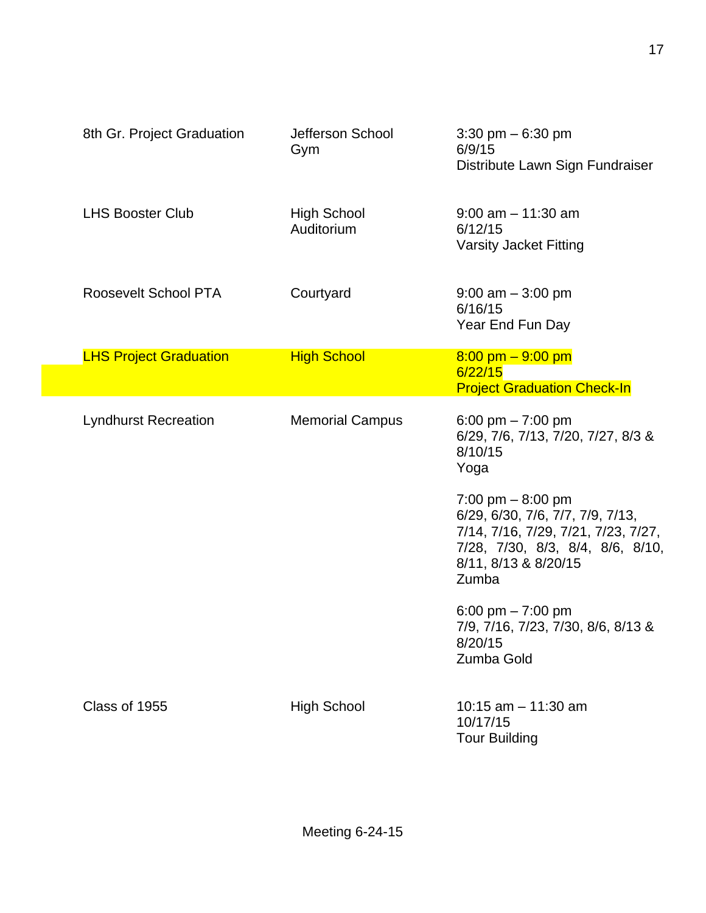| 8th Gr. Project Graduation    | Jefferson School<br>Gym          | 3:30 pm $-6:30$ pm<br>6/9/15<br>Distribute Lawn Sign Fundraiser                                                                                                    |
|-------------------------------|----------------------------------|--------------------------------------------------------------------------------------------------------------------------------------------------------------------|
| <b>LHS Booster Club</b>       | <b>High School</b><br>Auditorium | $9:00$ am $-11:30$ am<br>6/12/15<br><b>Varsity Jacket Fitting</b>                                                                                                  |
| Roosevelt School PTA          | Courtyard                        | $9:00$ am $-3:00$ pm<br>6/16/15<br>Year End Fun Day                                                                                                                |
| <b>LHS Project Graduation</b> | <b>High School</b>               | $8:00$ pm $-9:00$ pm<br>6/22/15                                                                                                                                    |
|                               |                                  | <b>Project Graduation Check-In</b>                                                                                                                                 |
| <b>Lyndhurst Recreation</b>   | <b>Memorial Campus</b>           | 6:00 pm $- 7:00$ pm<br>6/29, 7/6, 7/13, 7/20, 7/27, 8/3 &<br>8/10/15<br>Yoga                                                                                       |
|                               |                                  | 7:00 pm $-8:00$ pm<br>6/29, 6/30, 7/6, 7/7, 7/9, 7/13,<br>7/14, 7/16, 7/29, 7/21, 7/23, 7/27,<br>7/28, 7/30, 8/3, 8/4, 8/6, 8/10,<br>8/11, 8/13 & 8/20/15<br>Zumba |
|                               |                                  | 6:00 pm $- 7:00$ pm<br>7/9, 7/16, 7/23, 7/30, 8/6, 8/13 &<br>8/20/15<br>Zumba Gold                                                                                 |
| Class of 1955                 | <b>High School</b>               | 10:15 $am - 11:30 am$<br>10/17/15<br><b>Tour Building</b>                                                                                                          |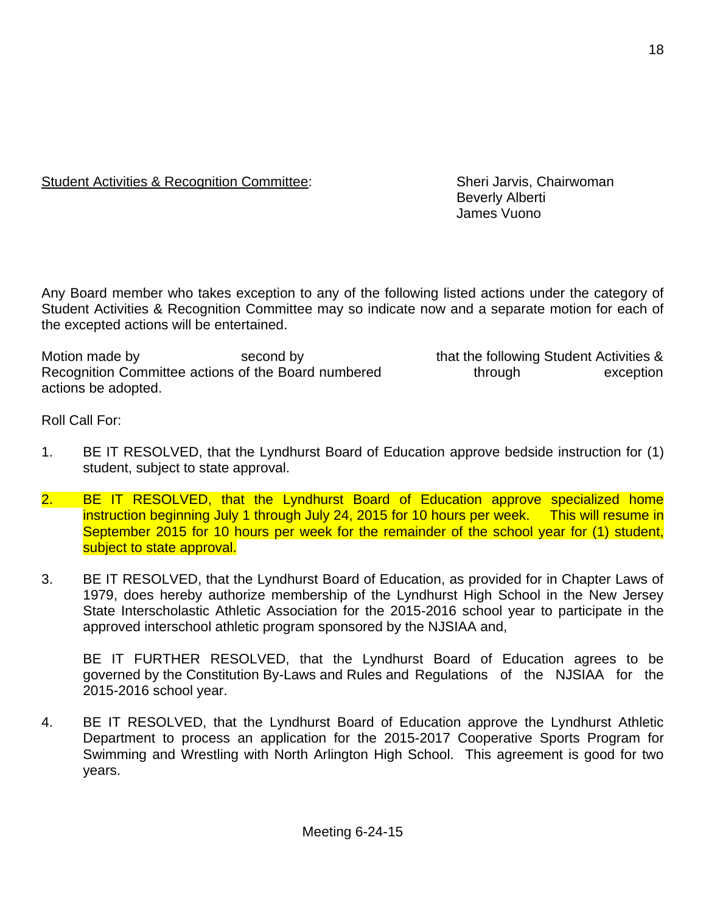# Student Activities & Recognition Committee: Sheri Jarvis, Chairwoman

Beverly Alberti James Vuono

Any Board member who takes exception to any of the following listed actions under the category of Student Activities & Recognition Committee may so indicate now and a separate motion for each of the excepted actions will be entertained.

Motion made by that in the second by that the following Student Activities & Recognition Committee actions of the Board numbered through through exception actions be adopted.

Roll Call For:

- 1. BE IT RESOLVED, that the Lyndhurst Board of Education approve bedside instruction for (1) student, subject to state approval.
- 2. BE IT RESOLVED, that the Lyndhurst Board of Education approve specialized home instruction beginning July 1 through July 24, 2015 for 10 hours per week. This will resume in September 2015 for 10 hours per week for the remainder of the school year for (1) student, subject to state approval.
- 3. BE IT RESOLVED, that the Lyndhurst Board of Education, as provided for in Chapter Laws of 1979, does hereby authorize membership of the Lyndhurst High School in the New Jersey State Interscholastic Athletic Association for the 2015-2016 school year to participate in the approved interschool athletic program sponsored by the NJSIAA and,

BE IT FURTHER RESOLVED, that the Lyndhurst Board of Education agrees to be governed by the Constitution By-Laws and Rules and Regulations of the NJSIAA for the 2015-2016 school year.

4. BE IT RESOLVED, that the Lyndhurst Board of Education approve the Lyndhurst Athletic Department to process an application for the 2015-2017 Cooperative Sports Program for Swimming and Wrestling with North Arlington High School. This agreement is good for two years.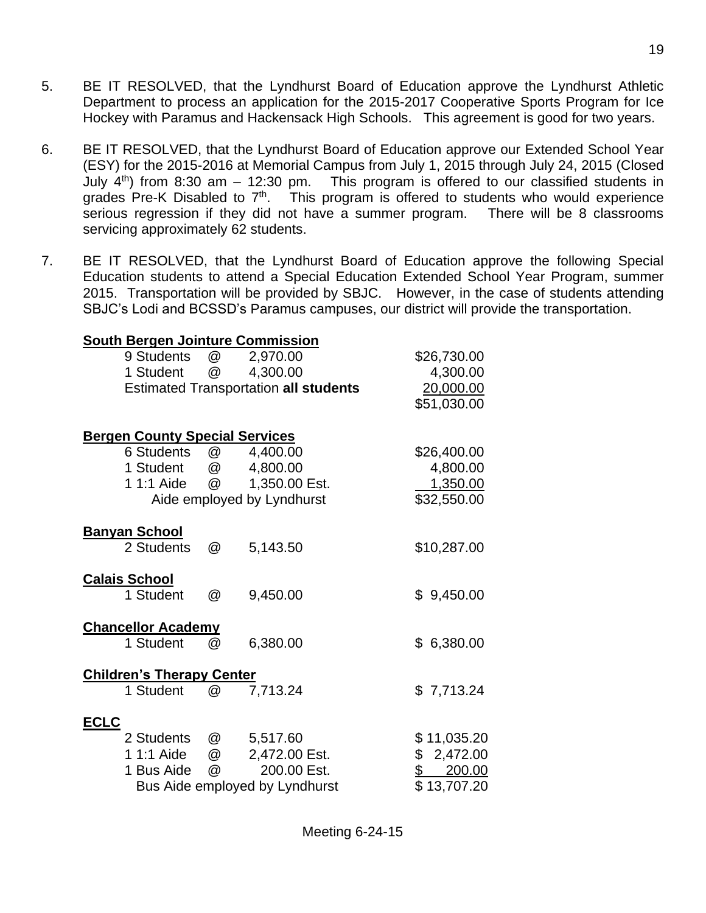- 5. BE IT RESOLVED, that the Lyndhurst Board of Education approve the Lyndhurst Athletic Department to process an application for the 2015-2017 Cooperative Sports Program for Ice Hockey with Paramus and Hackensack High Schools. This agreement is good for two years.
- 6. BE IT RESOLVED, that the Lyndhurst Board of Education approve our Extended School Year (ESY) for the 2015-2016 at Memorial Campus from July 1, 2015 through July 24, 2015 (Closed July  $4<sup>th</sup>$ ) from 8:30 am – 12:30 pm. This program is offered to our classified students in grades Pre-K Disabled to  $7<sup>th</sup>$ . This program is offered to students who would experience serious regression if they did not have a summer program. There will be 8 classrooms servicing approximately 62 students.
- 7. BE IT RESOLVED, that the Lyndhurst Board of Education approve the following Special Education students to attend a Special Education Extended School Year Program, summer 2015. Transportation will be provided by SBJC. However, in the case of students attending SBJC's Lodi and BCSSD's Paramus campuses, our district will provide the transportation.

| <b>South Bergen Jointure Commission</b> |          |                                              |                 |
|-----------------------------------------|----------|----------------------------------------------|-----------------|
| 9 Students                              |          | @ 2,970.00                                   | \$26,730.00     |
| 1 Student                               | <b>@</b> | 4,300.00                                     | 4,300.00        |
|                                         |          | <b>Estimated Transportation all students</b> | 20,000.00       |
|                                         |          |                                              | \$51,030.00     |
| <b>Bergen County Special Services</b>   |          |                                              |                 |
| 6 Students                              | @        | 4,400.00                                     | \$26,400.00     |
| 1 Student                               |          | @ 4,800.00                                   | 4,800.00        |
| 1 1:1 Aide                              |          | @ 1,350.00 Est.                              | <u>1,350.00</u> |
|                                         |          | Aide employed by Lyndhurst                   | \$32,550.00     |
| <b>Banyan School</b>                    |          |                                              |                 |
| 2 Students                              | @        | 5,143.50                                     | \$10,287.00     |
| <b>Calais School</b>                    |          |                                              |                 |
| 1 Student                               | @        | 9,450.00                                     | \$9,450.00      |
| <b>Chancellor Academy</b>               |          |                                              |                 |
| 1 Student                               | @        | 6,380.00                                     | \$6,380.00      |
| <b>Children's Therapy Center</b>        |          |                                              |                 |
| 1 Student                               | @        | 7,713.24                                     | \$7,713.24      |
| <b>ECLC</b>                             |          |                                              |                 |
| 2 Students                              |          | @ 5,517.60                                   | \$11,035.20     |
|                                         |          | 2,472.00 Est.                                | \$2,472.00      |
| 1 Bus Aide @                            |          | 200.00 Est.                                  | S<br>200.00     |
|                                         |          | Bus Aide employed by Lyndhurst               | \$13,707.20     |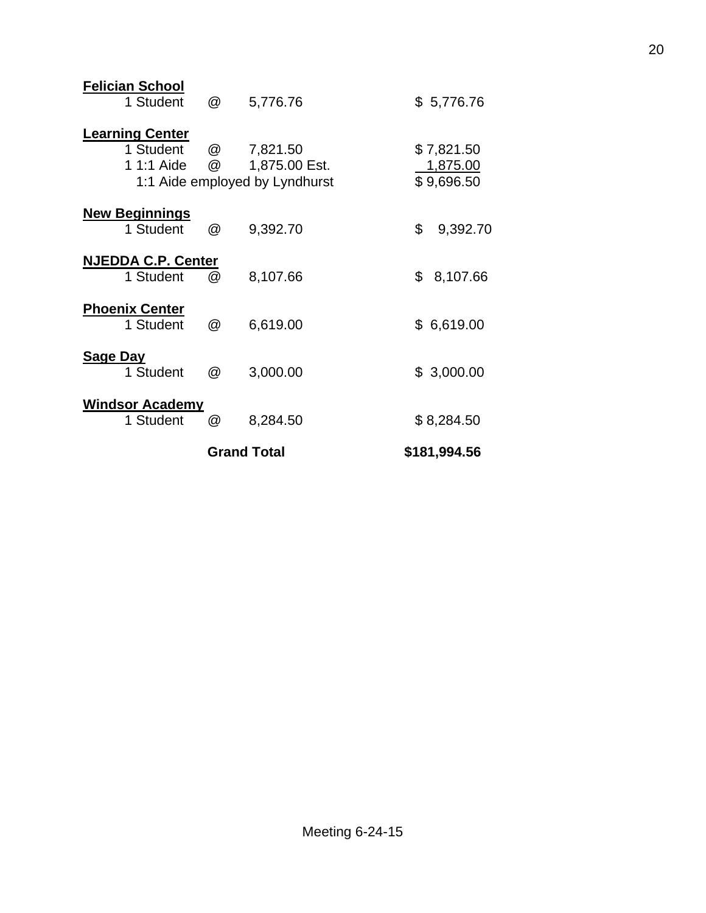|                 |                                                   |        | <b>Grand Total</b>                                          | \$181,994.56                         |
|-----------------|---------------------------------------------------|--------|-------------------------------------------------------------|--------------------------------------|
|                 | <b>Windsor Academy</b><br>1 Student               | @      | 8,284.50                                                    | \$8,284.50                           |
| <b>Sage Day</b> | 1 Student                                         | @      | 3,000.00                                                    | \$3,000.00                           |
|                 | <b>Phoenix Center</b><br>1 Student                | @      | 6,619.00                                                    | \$6,619.00                           |
|                 | <b>NJEDDA C.P. Center</b><br>1 Student            | @      | 8,107.66                                                    | \$<br>8,107.66                       |
|                 | <b>New Beginnings</b><br>1 Student                | @      | 9,392.70                                                    | \$<br>9,392.70                       |
|                 | <b>Learning Center</b><br>1 Student<br>1 1:1 Aide | @<br>@ | 7,821.50<br>1,875.00 Est.<br>1:1 Aide employed by Lyndhurst | \$7,821.50<br>1,875.00<br>\$9,696.50 |
|                 | <b>Felician School</b><br>1 Student               | @      | 5,776.76                                                    | \$5,776.76                           |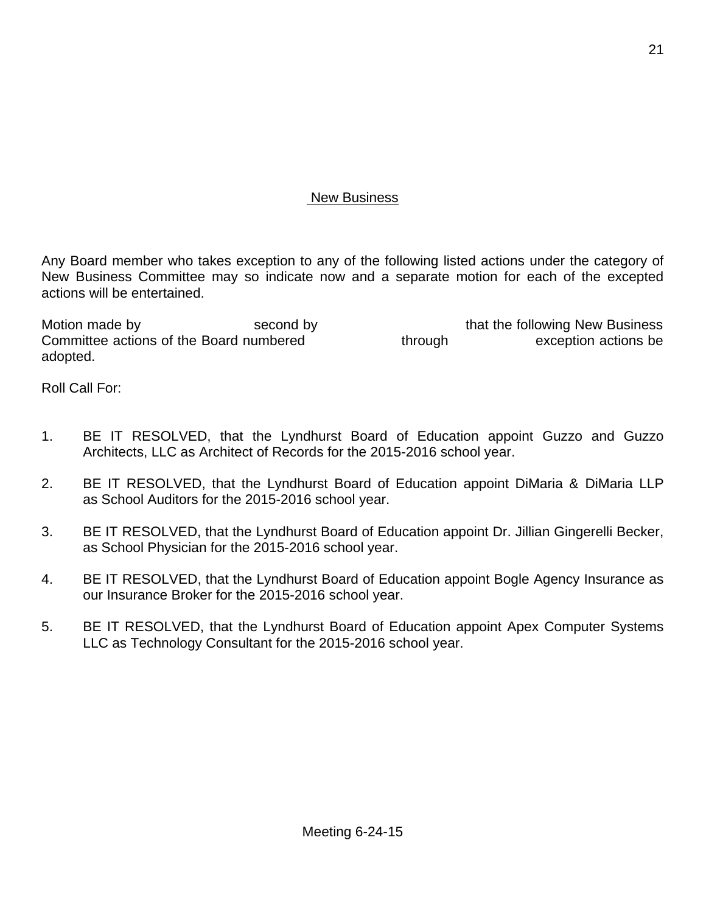## New Business

Any Board member who takes exception to any of the following listed actions under the category of New Business Committee may so indicate now and a separate motion for each of the excepted actions will be entertained.

Motion made by Second by Second by that the following New Business Committee actions of the Board numbered through through exception actions be adopted.

Roll Call For:

- 1. BE IT RESOLVED, that the Lyndhurst Board of Education appoint Guzzo and Guzzo Architects, LLC as Architect of Records for the 2015-2016 school year.
- 2. BE IT RESOLVED, that the Lyndhurst Board of Education appoint DiMaria & DiMaria LLP as School Auditors for the 2015-2016 school year.
- 3. BE IT RESOLVED, that the Lyndhurst Board of Education appoint Dr. Jillian Gingerelli Becker, as School Physician for the 2015-2016 school year.
- 4. BE IT RESOLVED, that the Lyndhurst Board of Education appoint Bogle Agency Insurance as our Insurance Broker for the 2015-2016 school year.
- 5. BE IT RESOLVED, that the Lyndhurst Board of Education appoint Apex Computer Systems LLC as Technology Consultant for the 2015-2016 school year.